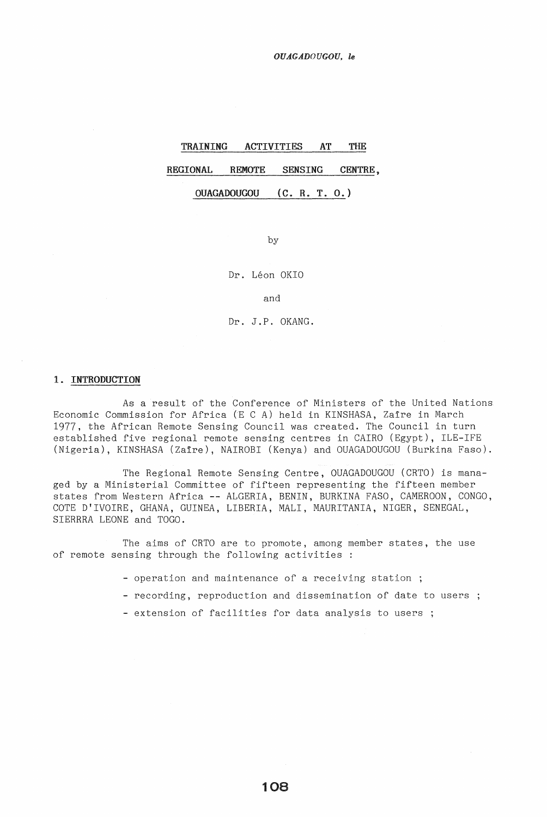*OUAGADOUGOU, le* 

# TRAINING ACTIVITIES AT THE REGIONAL REMOTE SENSING CENTRE,

OUAGADOUGOU (C. R. T. 0.)

by

Dr. Léon OKIO

and

Dr. J.P. OKANG.

## 1. INTRODUCTION

As a result of the Conference of Ministers of the United Nations Economic Commission for Africa (E C A) held in KINSHASA, Zaire in March 1977, the African Remote Sensing Council was created. The Council in turn established five regional remote sensing centres in CAIRO (Egypt), ILE-IFE (Nigeria), KINSHASA (Zaire), NAIROBI (Kenya) and OUAGADOUGOU (Burkina Faso).

The Regional Remote Sensing Centre, OUAGADOUGOU (CRTO) is managed by a Ministerial Committee of fifteen representing the fifteen member states from Western Africa -- ALGERIA, BENIN, BURKINA FASO, CAMEROON, CONGO, COTE D'IVOIRE, GHANA, GUINEA, LIBERIA, MALI, MAURITANIA, NIGER, SENEGAL, SIERRRA LEONE and TOGO.

The aims of CRTO are to promote, among member states, the use of remote sensing through the following activities

- operation and maintenance of a receiving station ;
- recording, reproduction and dissemination of date to users;
- extension of facilities for data analysis to users ;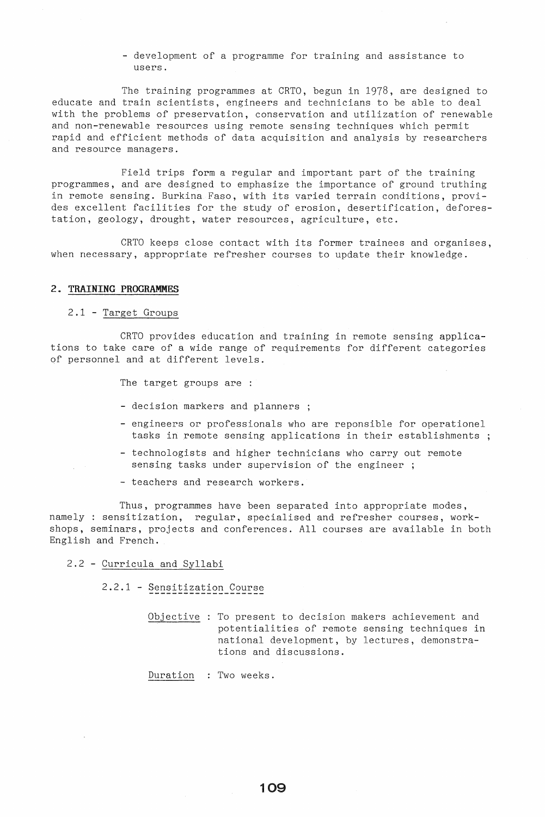- development of a programme for training and assistance to users.

The training programmes at CRTO, begun in 1978, are designed to educate and train scientists, engineers and technicians to be able to deal with the problems of preservation, conservation and utilization of renewable and non-renewable resources using remote sensing techniques which permit rapid and efficient methods of data acquisition and analysis by researchers and resource managers.

Field trips form a regular and important part of the training programmes, and are designed to emphasize the importance of ground truthing in remote sensing. Burkina Faso, with its varied terrain conditions, provides excellent facilities for the study of erosion, desertification, deforestation, geology, drought, water resources, agriculture, etc.

CRTO keeps close contact with its former trainees and organises, when necessary, appropriate refresher courses to update their knowledge.

## **2. TRAINING PROGRAMMES**

## 2.1 - Target Groups

CRTO provides education and training in remote sensing applications to take care of a wide range of requirements for different categories of personnel and at different levels.

The target groups are :

- decision markers and planners ;
- engineers or professionals who are reponsible for operationel tasks in remote sensing applications in their establishments
- technologists and higher technicians who carry out remote sensing tasks under supervision of the engineer ;
- teachers and research workers.

Thus, programmes have been separated into appropriate modes, namely: sensitization, regular, specialised and refresher courses, workshops, seminars, projects and conferences. All courses are available in both English and French.

## 2.2 - Curricula and Syllabi

2.2.1 - Sensitization Course

Objective : To present to decision makers achievement and potentialities of remote sensing techniques in national development, by lectures, demonstrations and discussions.

Duration : Two weeks.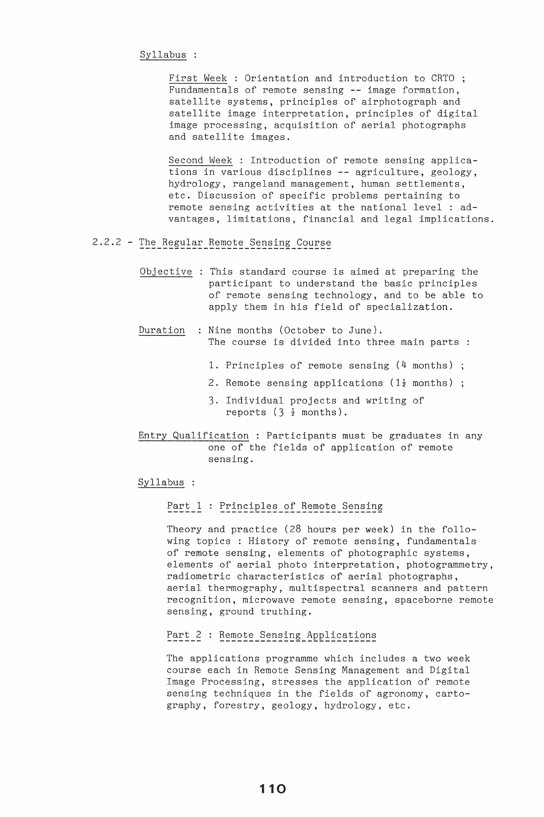```
Syllabus :
```
First Week : Orientation and introduction to CRTO ; Fundamentals of remote sensing -- image formation, satellite systems, principles of airphotograph and satellite image interpretation, principles of digital image processing, acquisition of aerial photographs and satellite images.

Second Week : Introduction of remote sensing applications in various disciplines **--** agriculture, geology, hydrology, rangeland management, human settlements, etc. Discussion of specific problems pertaining to remote sensing activities at the national level : advantages, limitations, financial and legal implications.

# 2.2.2 - The Regular Remote Sensing Course

Objective : This standard course is aimed at preparing the participant to understand the basic principles of remote sensing technology, and to be able to apply them in his field of specialization.

# Duration : Nine months (October to June). The course is divided into three main parts :

- 1. Principles of remote sensing (4 months)
- 2. Remote sensing applications ( $1\frac{1}{2}$  months) ;
- 3. Individual projects and writing of reports  $(3, \frac{1}{2}$  months).

Entry Qualification : Participants must be graduates in any one of the fields of application of remote sensing.

## Syllabus :

## Part 1 : Principles of Remote Sensing

Theory and practice (28 hours per week) in the following topics: History of remote sensing, fundamentals of remote sensing, elements of photographic systems, elements of aerial photo interpretation, photogrammetry, radiometric characteristics of aerial photographs, aerial thermography, multispectral scanners and pattern recognition, microwave remote sensing, spaceborne remote sensing, ground truthing.

# Part 2 : Remote Sensing Applications

The applications programme which includes a two week course each in Remote Sensing Management and Digital Image Processing, stresses the application of remote sensing techniques in the fields of agronomy, cartography, forestry, geology, hydrology, etc.

110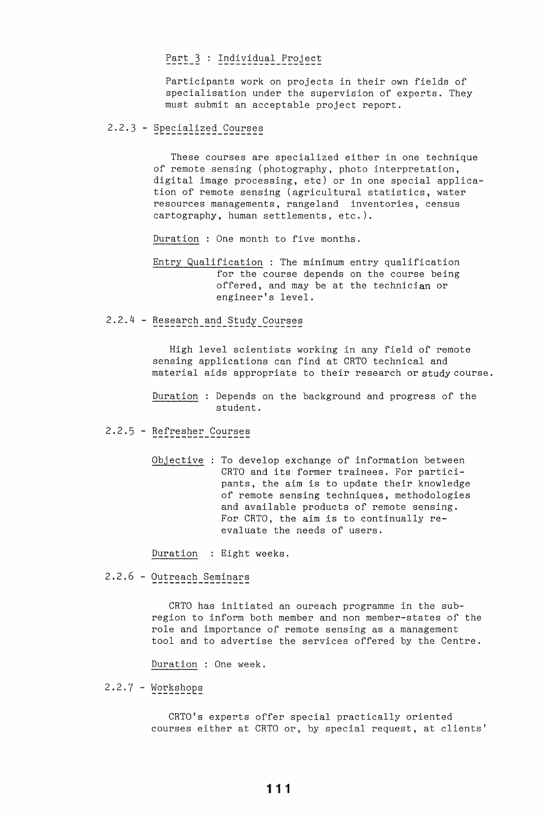# Part 3 : Individual Project

Participants work on projects in their own fields of specialisation under the supervision of experts. They must submit an acceptable project report.

2.2.3 - Specialized Courses

These courses are specialized either in one technique of remote sensing (photography, photo interpretation, digital image processing, etc) or in one special application of remote sensing (agricultural statistics, water resources managements, rangeland inventories, census cartography, human settlements, etc.).

Duration: One month to five months.

Entry Qualification : The minimum entry qualification for the course depends on the course being offered, and may be at the technician or engineer's level.

# 2.2.4 - Research and Study Courses

High level scientists working in any field of remote sensing applications can find at CRTO technical and material aids appropriate to their research or study course.

Duration : Depends on the background and progress of the student.

# 2.2.5 - Refresher Courses

Objective : To develop exchange of information between CRTO and its former trainees. For participants, the aim is to update their knowledge of remote sensing techniques, methodologies and available products of remote sensing. For CRTO, the aim is to continually reevaluate the needs of users.

Duration : Eight weeks.

2.2.6 - Outreach Seminars

CRTO has initiated an oureach programme in the subregion to inform both member and non member-states of the role and importance of remote sensing as a management tool and to advertise the services offered by the Centre.

Duration : One week.

## 2.2.7 - Workshops

CRTO's experts offer special practically oriented courses either at CRTO or, by special request, at clients'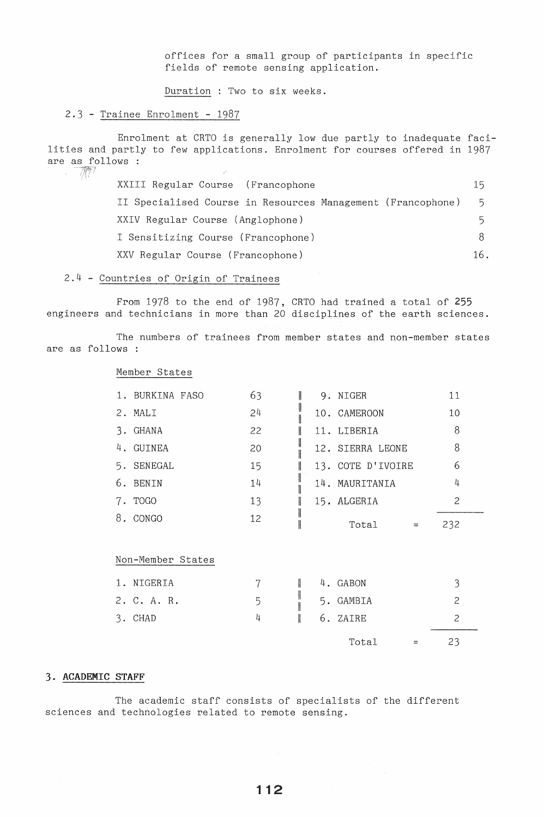offices for a small group of participants in specific fields of remote sensing application.

Duration: Two to six weeks.

# 2.3 - Trainee Enrolment - 1987

Enrolment at CRTO is generally low due partly to inadequate facilities and partly to few applications. Enrolment for courses offered in 1987 are as follows :  $\mathcal{L}$ 

| XXIII Regular Course (Francophone                           | 15  |
|-------------------------------------------------------------|-----|
| II Specialised Course in Resources Management (Francophone) | 5.  |
| XXIV Regular Course (Anglophone)                            | 5.  |
| I Sensitizing Course (Francophone)                          |     |
| XXV Regular Course (Francophone)                            | 16. |

## 2.4 - Countries of Origin of Trainees

From 1978 to the end of 1987, CRTO had trained a total of **255**  engineers and technicians in more than 20 disciplines of the earth sciences.

The numbers of trainees from member states and non-member states are as follows :

Member States

| 1. BURKINA FASO | 63 | 9. NIGER          | 11             |
|-----------------|----|-------------------|----------------|
| 2. MALI         | 24 | 10. CAMEROON      | 10             |
| 3. GHANA        | 22 | 11. LIBERIA       | $\overline{8}$ |
| 4. GUINEA       | 20 | 12. SIERRA LEONE  | 8              |
| 5. SENEGAL      | 15 | 13. COTE D'IVOIRE | 6              |
| 6. BENIN        | 14 | 14. MAURITANIA    | 4              |
| 7. TOGO         | 13 | 15. ALGERIA       | 2              |
| 8. CONGO        | 12 | Total             | 232            |

Non-Member States

| 1. NIGERIA<br>2. C. A. R. | 5 |   | 4. GABON<br>5. GAMBIA | ≺ |  |
|---------------------------|---|---|-----------------------|---|--|
| 3. CHAD                   |   | I | 6. ZAIRE<br>Total     |   |  |

# 3. ACADEMIC STAFF

The academic staff consists of specialists of the different sciences and technologies related to remote sensing.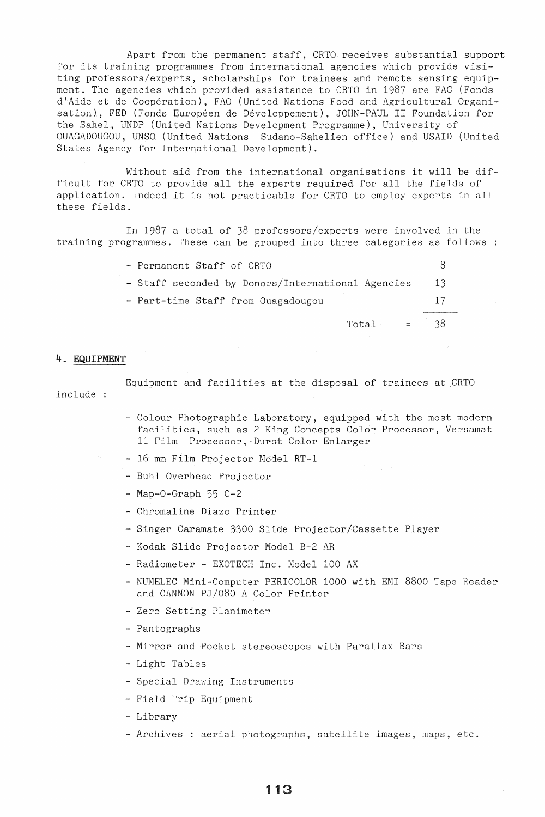Apart from the permanent staff, CRTO receives substantial support for its training programmes from international agencies which provide visiting professors/experts, scholarships for trainees and remote sensing equipment. The agencies which provided assistance to CRTO in 1987 are FAC (Fonds d'Aide et de Coopération), FAO (United Nations Food and Agricultural Organisation), FED (Fonds Européen de Développement), JOHN-PAUL II Foundation for the Sahel, UNDP (United Nations Development Programme), University of OUAGADOUGOU, UNSO (United Nations Sudano-Sahelien office) and USAID (United States Agency for International Development).

Without aid from the international organisations it will be difficult for CRTO to provide all the experts required for all the fields of application. Indeed it is not practicable for CRTO to employ experts in all these fields.

In 1987 a total of 38 professors/experts were involved in the training programmes. These can be grouped into three categories as follows

| - Permanent Staff of CRTO                         |    |
|---------------------------------------------------|----|
| - Staff seconded by Donors/International Agencies | 13 |
| - Part-time Staff from Ouagadougou                | 17 |
| Total<br>$\equiv$ 100 $\pm$                       |    |

## 4. EQUIPMENT

include : Equipment and facilities at the disposal of trainees at CRTO

- Colour Photographic Laboratory, equipped with the most modern facilities, such as 2 King Concepts Color Processor, Versamat 11 Film Processor, Durst Color Enlarger
- 16 mm Film Projector Model RT-l
- Buhl Overhead Projector
- Map-O-Graph 55 C-2
- Chromaline Diazo Printer
- Singer Caramate 3300 Slide Projector/Cassette Player
- Kodak Slide Projector Model B-2 AR
- Radiometer EXOTECH Inc. Model 100 AX
- NUMELEC Mini-Computer PERICOLOR 1000 with EMI 8800 Tape Reader and CANNON PJ/080 A Color Printer
- Zero Setting Planimeter
- Pantographs
- Mirror and Pocket stereoscopes with Parallax Bars
- Light Tables
- Special Drawing Instruments
- Field Trip Equipment
- Library
- Archives : aerial photographs, satellite images, maps, etc.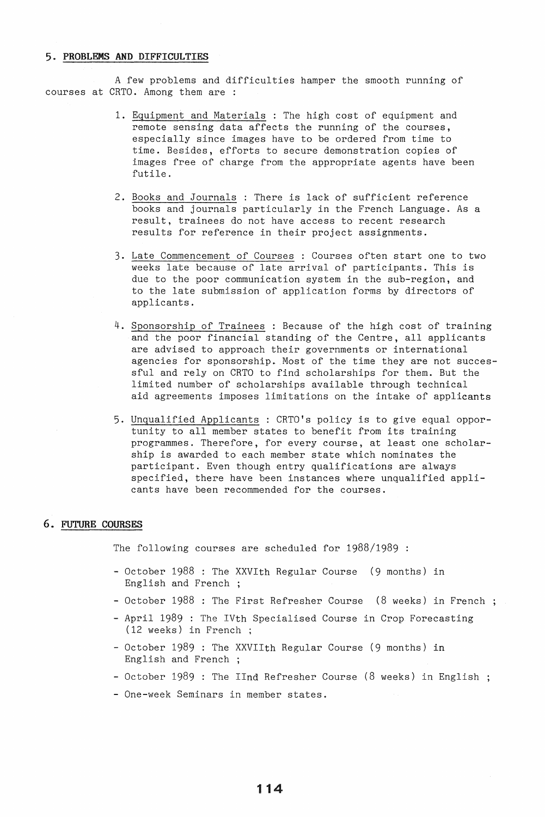## 5. PROBLEMS AND DIFFICULTIES

A few problems and difficulties hamper the smooth running of courses at CRTO. Among them are :

- 1. Equipment and Materials: The high cost of equipment and remote sensing data affects the running of the courses, especially since images have to be ordered from time to time. Besides, efforts to secure demonstration copies of images free of charge from the appropriate agents have been futile.
- 2. Books and Journals : There is lack of sufficient reference books and journals particularly in the French Language. As a result, trainees do not have access to recent research results for reference in their project assignments.
- 3. Late Commencement of Courses : Courses often start one to two weeks late because of late arrival of participants. This is due to the poor communication system in the sub-region, and to the late submission of application forms by directors of applicants.
- 4. Sponsorship of Trainees : Because of the high cost of training and the poor financial standing of the Centre, all applicants are advised to approach their governments or international agencies for sponsorship. Most of the time they are not successful and rely on CRTO to find scholarships for them. But the limited number of scholarships available through technical aid agreements imposes limitations on the intake of applicants
- 5. Unqualified Applicants: CRTO's policy is to give equal opportunity to all member states to benefit from its training programmes. Therefore, for every course, at least one scholarship is awarded to each member state which nominates the participant. Even though entry qualifications are always specified, there have been instances where unqualified applicants have been recommended for the courses.

## 6. FUTURE COURSES

The following courses are scheduled for 1988/1989 :

- October 1988 : The XXVlth Regular Course (9 months) in English and French
- October 1988 : The First Refresher Course (8 weeks) in French;
- April 1989 : The IVth Specialised Course in Crop Forecasting (12 weeks) in French;
- October 1989 : The XXVIIth Regular Course (9 months) in English and French
- October 1989 : The IInd Refresher Course (8 weeks) in English;
- One-week Seminars in member states.